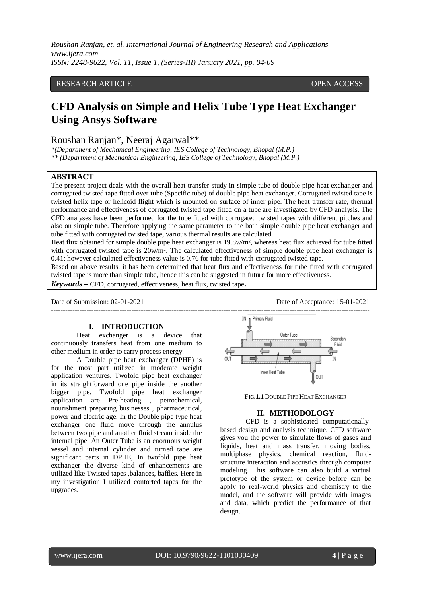# RESEARCH ARTICLE **CONSERVERS** OPEN ACCESS

# **CFD Analysis on Simple and Helix Tube Type Heat Exchanger Using Ansys Software**

# Roushan Ranjan\*, Neeraj Agarwal\*\*

*\*(Department of Mechanical Engineering, IES College of Technology, Bhopal (M.P.) \*\* (Department of Mechanical Engineering, IES College of Technology, Bhopal (M.P.)*

#### **ABSTRACT**

The present project deals with the overall heat transfer study in simple tube of double pipe heat exchanger and corrugated twisted tape fitted over tube (Specific tube) of double pipe heat exchanger. Corrugated twisted tape is twisted helix tape or helicoid flight which is mounted on surface of inner pipe. The heat transfer rate, thermal performance and effectiveness of corrugated twisted tape fitted on a tube are investigated by CFD analysis. The CFD analyses have been performed for the tube fitted with corrugated twisted tapes with different pitches and also on simple tube. Therefore applying the same parameter to the both simple double pipe heat exchanger and tube fitted with corrugated twisted tape, various thermal results are calculated.

Heat flux obtained for simple double pipe heat exchanger is 19.8w/m², whereas heat flux achieved for tube fitted with corrugated twisted tape is  $20w/m<sup>2</sup>$ . The calculated effectiveness of simple double pipe heat exchanger is 0.41; however calculated effectiveness value is 0.76 for tube fitted with corrugated twisted tape.

Based on above results, it has been determined that heat flux and effectiveness for tube fitted with corrugated twisted tape is more than simple tube, hence this can be suggested in future for more effectiveness.

--------------------------------------------------------------------------------------------------------------------------------------

*Keywords* **–** CFD, corrugated, effectiveness, heat flux, twisted tape**.**

Date of Submission: 02-01-2021 Date of Acceptance: 15-01-2021

#### **I. INTRODUCTION**

Heat exchanger is a device that continuously transfers heat from one medium to other medium in order to carry process energy.

A Double pipe heat exchanger (DPHE) is for the most part utilized in moderate weight application ventures. Twofold pipe heat exchanger in its straightforward one pipe inside the another bigger pipe. Twofold pipe heat exchanger<br>application are Pre-heating , petrochemical, application are Pre-heating nourishment preparing businesses , pharmaceutical, power and electric age. In the Double pipe type heat exchanger one fluid move through the annulus between two pipe and another fluid stream inside the internal pipe. An Outer Tube is an enormous weight vessel and internal cylinder and turned tape are significant parts in DPHE, In twofold pipe heat exchanger the diverse kind of enhancements are utilized like Twisted tapes ,balances, baffles. Here in my investigation I utilized contorted tapes for the upgrades.



**FIG.1.1** DOUBLE PIPE HEAT EXCHANGER

#### **II. METHODOLOGY**

CFD is a sophisticated computationallybased design and analysis technique. CFD software gives you the power to simulate flows of gases and liquids, heat and mass transfer, moving bodies, multiphase physics, chemical reaction, fluidstructure interaction and acoustics through computer modeling. This software can also build a virtual prototype of the system or device before can be apply to real-world physics and chemistry to the model, and the software will provide with images and data, which predict the performance of that design.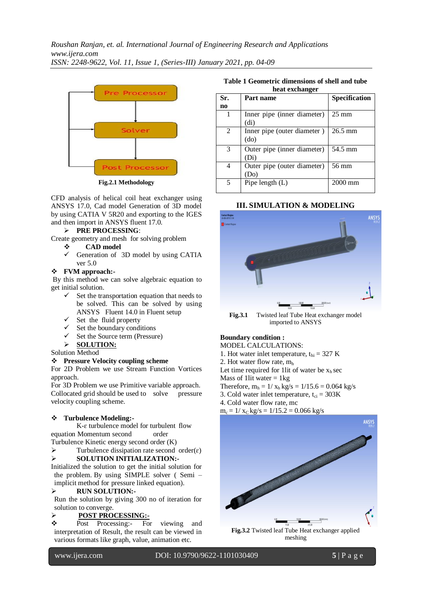

**Fig.2.1 Methodology**

CFD analysis of helical coil heat exchanger using ANSYS 17.0, Cad model Generation of 3D model by using CATIA V 5R20 and exporting to the IGES and then import in ANSYS fluent 17.0.

### **PRE PROCESSING**:

Create geometry and mesh for solving problem

- **CAD model**
- Generation of 3D model by using CATIA ver 5.0

# **FVM approach:-**

By this method we can solve algebraic equation to get initial solution.

- $\checkmark$  Set the transportation equation that needs to be solved. This can be solved by using ANSYS Fluent 14.0 in Fluent setup
- $\checkmark$  Set the fluid property
- $\checkmark$  Set the boundary conditions
- $\checkmark$  Set the Source term (Pressure)
- **SOLUTION:**

Solution Method

#### **Pressure Velocity coupling scheme**

For 2D Problem we use Stream Function Vortices approach.

For 3D Problem we use Primitive variable approach. Collocated grid should be used to solve pressure velocity coupling scheme.

#### **Turbulence Modeling:-**

K-ɛ turbulence model for turbulent flow equation Momentum second order

Turbulence Kinetic energy second order (K)

 $\triangleright$  Turbulence dissipation rate second order( $\varepsilon$ )

#### **SOLUTION INITIALIZATION:-**

Initialized the solution to get the initial solution for the problem. By using SIMPLE solver ( Semi – implicit method for pressure linked equation).

### **RUN SOLUTION:-**

Run the solution by giving 300 no of iteration for solution to converge.

## **POST PROCESSING:-**

 Post Processing:- For viewing and interpretation of Result, the result can be viewed in various formats like graph, value, animation etc.

**Table 1 Geometric dimensions of shell and tube heat exchanger**

| MUMU UNUMMILAL |                                                  |                 |
|----------------|--------------------------------------------------|-----------------|
| Sr.            | Part name                                        | Specification   |
| no             |                                                  |                 |
|                | Inner pipe (inner diameter)<br>(d <sub>i</sub> ) | $25 \text{ mm}$ |
| $\mathfrak{D}$ | Inner pipe (outer diameter)<br>(do)              | $26.5$ mm       |
| 3              | Outer pipe (inner diameter)<br>(Di)              | 54.5 mm         |
| 4              | Outer pipe (outer diameter)<br>'Do)              | 56 mm           |
| 5              | Pipe length $(L)$                                | 2000 mm         |

# **III. SIMULATION & MODELING**



**Fig.3.1** Twisted leaf Tube Heat exchanger model imported to ANSYS

#### **Boundary condition :**

MODEL CALCULATIONS:

1. Hot water inlet temperature,  $t_{hi} = 327$  K

2. Hot water flow rate,  $m<sub>h</sub>$ 

Let time required for 1lit of water be  $x<sub>h</sub>$  sec

Mass of 1lit water  $= 1$ kg

Therefore,  $m_h = 1/x_h$  kg/s = 1/15.6 = 0.064 kg/s

3. Cold water inlet temperature,  $t_{ci} = 303K$ 

4. Cold water flow rate, mc

 $m_c = 1/x_c$  kg/s = 1/15.2 = 0.066 kg/s



**Fig.3.2** Twisted leaf Tube Heat exchanger applied meshing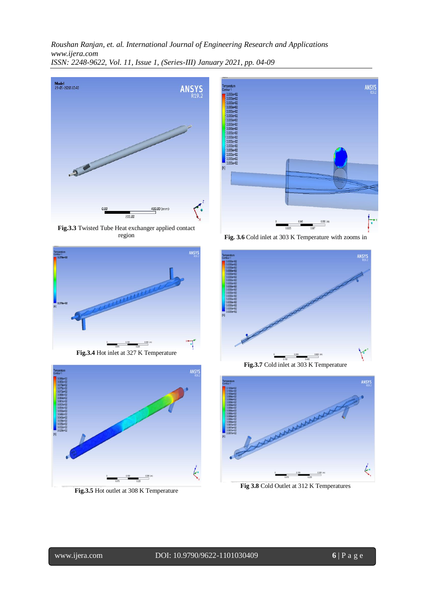

**Fig.3.3** Twisted Tube Heat exchanger applied contact region





**Fig.3.5** Hot outlet at 308 K Temperature



**Fig. 3.6** Cold inlet at 303 K Temperature with zooms in



**Fig.3.7** Cold inlet at 303 K Temperature



**Fig 3.8** Cold Outlet at 312 K Temperatures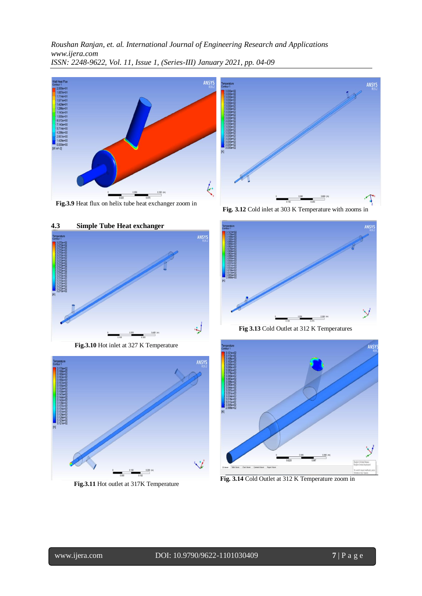

**Fig.3.9** Heat flux on helix tube heat exchanger zoom in





**Fig.3.10** Hot inlet at 327 K Temperature



**Fig.3.11** Hot outlet at 317K Temperature

**Fig. 3.12** Cold inlet at 303 K Temperature with zooms in

ANSYS



**Fig 3.13** Cold Outlet at 312 K Temperatures



**Fig. 3.14** Cold Outlet at 312 K Temperature zoom in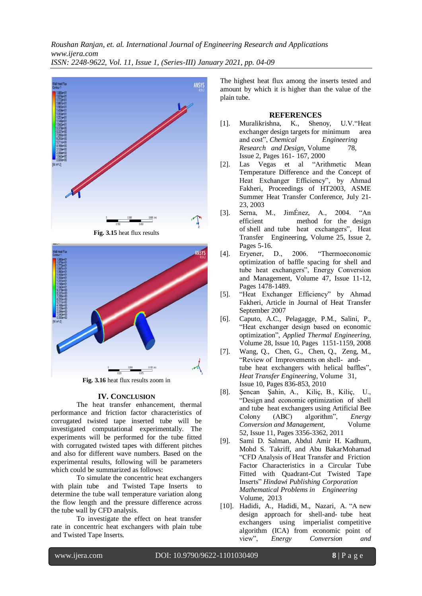

**Fig. 3.15** heat flux results



**Fig. 3.16** heat flux results zoom in

#### **IV. CONCLUSION**

The heat transfer enhancement, thermal performance and friction factor characteristics of corrugated twisted tape inserted tube will be investigated computational experimentally. The experiments will be performed for the tube fitted with corrugated twisted tapes with different pitches and also for different wave numbers. Based on the experimental results, following will be parameters which could be summarized as follows:

To simulate the concentric heat exchangers with plain tube and Twisted Tape Inserts to determine the tube wall temperature variation along the flow length and the pressure difference across the tube wall by CFD analysis.

To investigate the effect on heat transfer rate in concentric heat exchangers with plain tube and Twisted Tape Inserts.

The highest heat flux among the inserts tested and amount by which it is higher than the value of the plain tube.

#### **REFERENCES**

- [1]. Muralikrishna, K., Shenoy, U.V."Heat exchanger design targets for minimum area and cost", *Chemical Engineering Research and Design*, Volume 78, Issue 2, Pages 161- 167, 2000
- [2]. Las Vegas et al "Arithmetic Mean Temperature Difference and the Concept of Heat Exchanger Efficiency", by Ahmad Fakheri, Proceedings of HT2003, ASME Summer Heat Transfer Conference, July 21- 23, 2003
- [3]. Serna, M., JimÉnez, A., 2004. "An efficient method for the design of shell and tube heat exchangers", Heat Transfer Engineering, Volume 25, Issue 2, Pages 5-16.
- [4]. Eryener, D., 2006. "Thermoeconomic optimization of baffle spacing for shell and tube heat exchangers", Energy Conversion and Management, Volume 47, Issue 11-12, Pages 1478-1489.
- [5]. "Heat Exchanger Efficiency" by Ahmad Fakheri, Article in Journal of Heat Transfer September 2007
- [6]. Caputo, A.C., Pelagagge, P.M., Salini, P., "Heat exchanger design based on economic optimization", *Applied Thermal Engineering*, Volume 28, Issue 10, Pages 1151-1159, 2008
- [7]. Wang, Q., Chen, G., Chen, Q., Zeng, M., "Review of Improvements on shell- andtube heat exchangers with helical baffles", *Heat Transfer Engineering*, Volume 31, Issue 10, Pages 836-853, 2010
- [8]. Şencan Şahin, A., Kiliç, B., Kiliç, U., "Design and economic optimization of shell and tube heat exchangers using Artificial Bee Colony (ABC) algorithm", *Energy Conversion and Management*, Volume 52, Issue 11, Pages 3356-3362, 2011
- [9]. Sami D. Salman, Abdul Amir H. Kadhum, Mohd S. Takriff, and Abu BakarMohamad "CFD Analysis of Heat Transfer and Friction Factor Characteristics in a Circular Tube Fitted with Quadrant-Cut Twisted Tape Inserts" *Hindawi Publishing Corporation Mathematical Problems in Engineering* Volume, 2013
- [10]. Hadidi, A., Hadidi, M., Nazari, A. "A new design approach for shell-and- tube heat exchangers using imperialist competitive algorithm (ICA) from economic point of view", *Energy Conversion and*